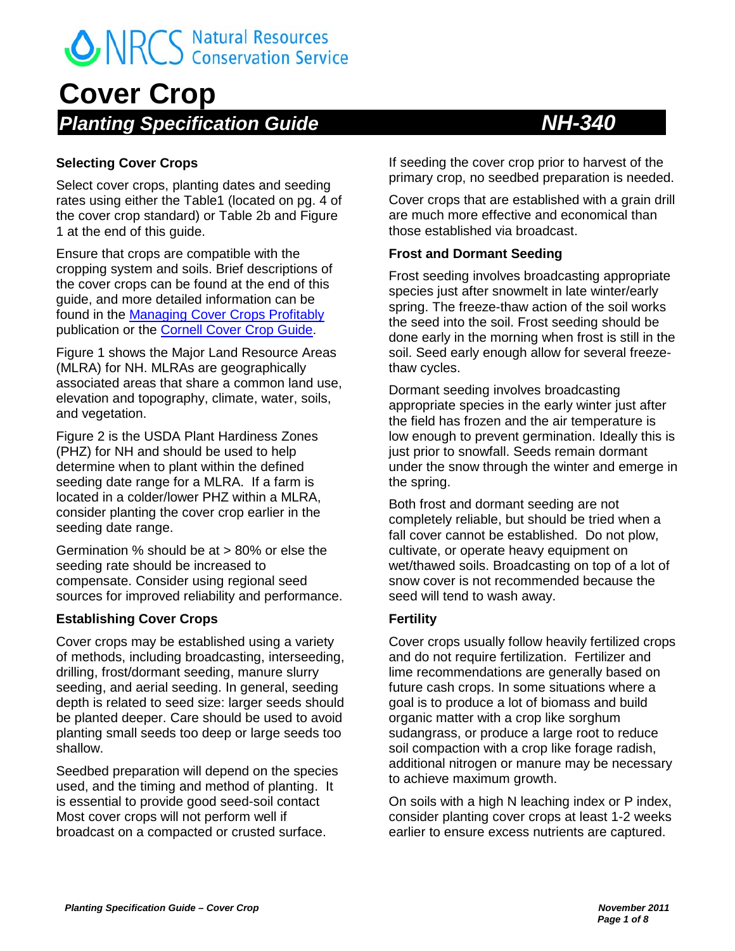### **Cover Crop** *Planting Specification Guide NH-340*

#### **Selecting Cover Crops**

Select cover crops, planting dates and seeding rates using either the Table1 (located on pg. 4 of the cover crop standard) or Table 2b and Figure 1 at the end of this guide.

Ensure that crops are compatible with the cropping system and soils. Brief descriptions of the cover crops can be found at the end of this guide, and more detailed information can be found in the [Managing Cover Crops Profitably](http://www.sare.org/Learning-Center/Books/Managing-Cover-Crops-Profitably-3rd-Edition/Text-Version) publication or the **Cornell Cover Crop Guide**.

Figure 1 shows the Major Land Resource Areas (MLRA) for NH. MLRAs are geographically associated areas that share a common land use, elevation and topography, climate, water, soils, and vegetation.

Figure 2 is the USDA Plant Hardiness Zones (PHZ) for NH and should be used to help determine when to plant within the defined seeding date range for a MLRA. If a farm is located in a colder/lower PHZ within a MLRA, consider planting the cover crop earlier in the seeding date range.

Germination % should be at > 80% or else the seeding rate should be increased to compensate. Consider using regional seed sources for improved reliability and performance.

#### **Establishing Cover Crops**

Cover crops may be established using a variety of methods, including broadcasting, interseeding, drilling, frost/dormant seeding, manure slurry seeding, and aerial seeding. In general, seeding depth is related to seed size: larger seeds should be planted deeper. Care should be used to avoid planting small seeds too deep or large seeds too shallow.

Seedbed preparation will depend on the species used, and the timing and method of planting. It is essential to provide good seed-soil contact Most cover crops will not perform well if broadcast on a compacted or crusted surface.

If seeding the cover crop prior to harvest of the primary crop, no seedbed preparation is needed.

Cover crops that are established with a grain drill are much more effective and economical than those established via broadcast.

#### **Frost and Dormant Seeding**

Frost seeding involves broadcasting appropriate species just after snowmelt in late winter/early spring. The freeze-thaw action of the soil works the seed into the soil. Frost seeding should be done early in the morning when frost is still in the soil. Seed early enough allow for several freezethaw cycles.

Dormant seeding involves broadcasting appropriate species in the early winter just after the field has frozen and the air temperature is low enough to prevent germination. Ideally this is just prior to snowfall. Seeds remain dormant under the snow through the winter and emerge in the spring.

Both frost and dormant seeding are not completely reliable, but should be tried when a fall cover cannot be established. Do not plow, cultivate, or operate heavy equipment on wet/thawed soils. Broadcasting on top of a lot of snow cover is not recommended because the seed will tend to wash away.

#### **Fertility**

Cover crops usually follow heavily fertilized crops and do not require fertilization. Fertilizer and lime recommendations are generally based on future cash crops. In some situations where a goal is to produce a lot of biomass and build organic matter with a crop like sorghum sudangrass, or produce a large root to reduce soil compaction with a crop like forage radish, additional nitrogen or manure may be necessary to achieve maximum growth.

On soils with a high N leaching index or P index, consider planting cover crops at least 1-2 weeks earlier to ensure excess nutrients are captured.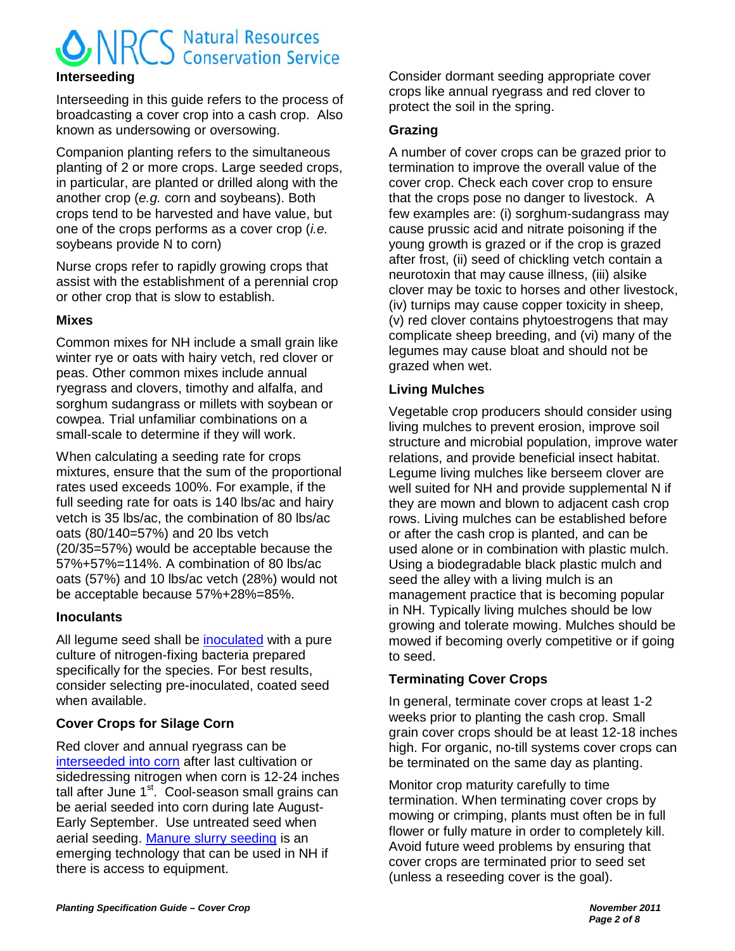### **ONRCS** Natural Resources **Interseeding**

Interseeding in this guide refers to the process of broadcasting a cover crop into a cash crop. Also known as undersowing or oversowing.

Companion planting refers to the simultaneous planting of 2 or more crops. Large seeded crops, in particular, are planted or drilled along with the another crop (*e.g.* corn and soybeans). Both crops tend to be harvested and have value, but one of the crops performs as a cover crop (*i.e.* soybeans provide N to corn)

Nurse crops refer to rapidly growing crops that assist with the establishment of a perennial crop or other crop that is slow to establish.

#### **Mixes**

Common mixes for NH include a small grain like winter rye or oats with hairy vetch, red clover or peas. Other common mixes include annual ryegrass and clovers, timothy and alfalfa, and sorghum sudangrass or millets with soybean or cowpea. Trial unfamiliar combinations on a small-scale to determine if they will work.

When calculating a seeding rate for crops mixtures, ensure that the sum of the proportional rates used exceeds 100%. For example, if the full seeding rate for oats is 140 lbs/ac and hairy vetch is 35 lbs/ac, the combination of 80 lbs/ac oats (80/140=57%) and 20 lbs vetch (20/35=57%) would be acceptable because the 57%+57%=114%. A combination of 80 lbs/ac oats (57%) and 10 lbs/ac vetch (28%) would not be acceptable because 57%+28%=85%.

#### **Inoculants**

All legume seed shall be [inoculated](http://www.uaex.edu/Other_Areas/publications/pdf/FSA-2035.pdf) with a pure culture of nitrogen-fixing bacteria prepared specifically for the species. For best results, consider selecting pre-inoculated, coated seed when available.

#### **Cover Crops for Silage Corn**

Red clover and annual ryegrass can be [interseeded into corn](http://www.uvm.edu/pss/vtcrops/articles/CoverCrops_for_CornSilage_FS.pdf) after last cultivation or sidedressing nitrogen when corn is 12-24 inches tall after June  $1<sup>st</sup>$ . Cool-season small grains can be aerial seeded into corn during late August-Early September. Use untreated seed when aerial seeding. [Manure slurry seeding](http://www.mccc.msu.edu/documents/ManureSlurry-EnrichedSeedingofCC.pdf) is an emerging technology that can be used in NH if there is access to equipment.

Consider dormant seeding appropriate cover crops like annual ryegrass and red clover to protect the soil in the spring.

#### **Grazing**

A number of cover crops can be grazed prior to termination to improve the overall value of the cover crop. Check each cover crop to ensure that the crops pose no danger to livestock. A few examples are: (i) sorghum-sudangrass may cause prussic acid and nitrate poisoning if the young growth is grazed or if the crop is grazed after frost, (ii) seed of chickling vetch contain a neurotoxin that may cause illness, (iii) alsike clover may be toxic to horses and other livestock, (iv) turnips may cause copper toxicity in sheep, (v) red clover contains phytoestrogens that may complicate sheep breeding, and (vi) many of the legumes may cause bloat and should not be grazed when wet.

#### **Living Mulches**

Vegetable crop producers should consider using living mulches to prevent erosion, improve soil structure and microbial population, improve water relations, and provide beneficial insect habitat. Legume living mulches like berseem clover are well suited for NH and provide supplemental N if they are mown and blown to adjacent cash crop rows. Living mulches can be established before or after the cash crop is planted, and can be used alone or in combination with plastic mulch. Using a biodegradable black plastic mulch and seed the alley with a living mulch is an management practice that is becoming popular in NH. Typically living mulches should be low growing and tolerate mowing. Mulches should be mowed if becoming overly competitive or if going to seed.

#### **Terminating Cover Crops**

In general, terminate cover crops at least 1-2 weeks prior to planting the cash crop. Small grain cover crops should be at least 12-18 inches high. For organic, no-till systems cover crops can be terminated on the same day as planting.

Monitor crop maturity carefully to time termination. When terminating cover crops by mowing or crimping, plants must often be in full flower or fully mature in order to completely kill. Avoid future weed problems by ensuring that cover crops are terminated prior to seed set (unless a reseeding cover is the goal).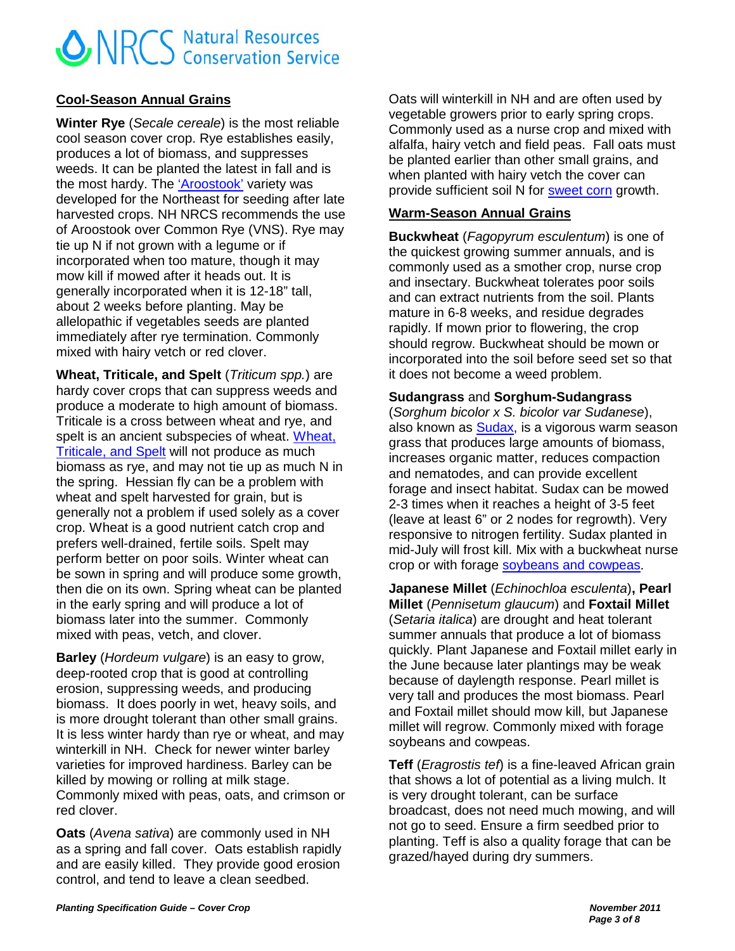#### **Cool-Season Annual Grains**

**Winter Rye** (*Secale cereale*) is the most reliable cool season cover crop. Rye establishes easily, produces a lot of biomass, and suppresses weeds. It can be planted the latest in fall and is the most hardy. The ['Aroostook'](http://www.plant-materials.nrcs.usda.gov/pubs/nypmcrbsecearoo.pdf) variety was developed for the Northeast for seeding after late harvested crops. NH NRCS recommends the use of Aroostook over Common Rye (VNS). Rye may tie up N if not grown with a legume or if incorporated when too mature, though it may mow kill if mowed after it heads out. It is generally incorporated when it is 12-18" tall, about 2 weeks before planting. May be allelopathic if vegetables seeds are planted immediately after rye termination. Commonly mixed with hairy vetch or red clover.

**Wheat, Triticale, and Spelt** (*Triticum spp.*) are hardy cover crops that can suppress weeds and produce a moderate to high amount of biomass. Triticale is a cross between wheat and rye, and spelt is an ancient subspecies of wheat. [Wheat,](http://www.hort.cornell.edu/bjorkman/lab/covercrops/pdf/wheat.pdf)  [Triticale, and Spelt](http://www.hort.cornell.edu/bjorkman/lab/covercrops/pdf/wheat.pdf) will not produce as much biomass as rye, and may not tie up as much N in the spring. Hessian fly can be a problem with wheat and spelt harvested for grain, but is generally not a problem if used solely as a cover crop. Wheat is a good nutrient catch crop and prefers well-drained, fertile soils. Spelt may perform better on poor soils. Winter wheat can be sown in spring and will produce some growth, then die on its own. Spring wheat can be planted in the early spring and will produce a lot of biomass later into the summer. Commonly mixed with peas, vetch, and clover.

**Barley** (*Hordeum vulgare*) is an easy to grow, deep-rooted crop that is good at controlling erosion, suppressing weeds, and producing biomass. It does poorly in wet, heavy soils, and is more drought tolerant than other small grains. It is less winter hardy than rye or wheat, and may winterkill in NH. Check for newer winter barley varieties for improved hardiness. Barley can be killed by mowing or rolling at milk stage. Commonly mixed with peas, oats, and crimson or red clover.

**Oats** (*Avena sativa*) are commonly used in NH as a spring and fall cover. Oats establish rapidly and are easily killed. They provide good erosion control, and tend to leave a clean seedbed.

Oats will winterkill in NH and are often used by vegetable growers prior to early spring crops. Commonly used as a nurse crop and mixed with alfalfa, hairy vetch and field peas. Fall oats must be planted earlier than other small grains, and when planted with hairy vetch the cover can provide sufficient soil N for [sweet corn](http://www.umass.edu/cdl/ResearchPubs/a-cc-Betsey.rpt-02.htm) growth.

#### **Warm-Season Annual Grains**

**Buckwheat** (*Fagopyrum esculentum*) is one of the quickest growing summer annuals, and is commonly used as a smother crop, nurse crop and insectary. Buckwheat tolerates poor soils and can extract nutrients from the soil. Plants mature in 6-8 weeks, and residue degrades rapidly. If mown prior to flowering, the crop should regrow. Buckwheat should be mown or incorporated into the soil before seed set so that it does not become a weed problem.

#### **Sudangrass** and **Sorghum-Sudangrass**

(*Sorghum bicolor x S. bicolor var Sudanese*), also known as [Sudax,](http://www.uvm.edu/vtvegandberry/factsheets/Sorghum-Sudangrass.pdf) is a vigorous warm season grass that produces large amounts of biomass, increases organic matter, reduces compaction and nematodes, and can provide excellent forage and insect habitat. Sudax can be mowed 2-3 times when it reaches a height of 3-5 feet (leave at least 6" or 2 nodes for regrowth). Very responsive to nitrogen fertility. Sudax planted in mid-July will frost kill. Mix with a buckwheat nurse crop or with forage [soybeans and cowpeas](http://www.mccc.msu.edu/documents/CovercropmixturesforintegratedweedandNmgmt.pdf).

**Japanese Millet** (*Echinochloa esculenta*)**, Pearl Millet** (*Pennisetum glaucum*) and **Foxtail Millet**  (*Setaria italica*) are drought and heat tolerant summer annuals that produce a lot of biomass quickly. Plant Japanese and Foxtail millet early in the June because later plantings may be weak because of daylength response. Pearl millet is very tall and produces the most biomass. Pearl and Foxtail millet should mow kill, but Japanese millet will regrow. Commonly mixed with forage soybeans and cowpeas.

**Teff** (*Eragrostis tef*) is a fine-leaved African grain that shows a lot of potential as a living mulch. It is very drought tolerant, can be surface broadcast, does not need much mowing, and will not go to seed. Ensure a firm seedbed prior to planting. Teff is also a quality forage that can be grazed/hayed during dry summers.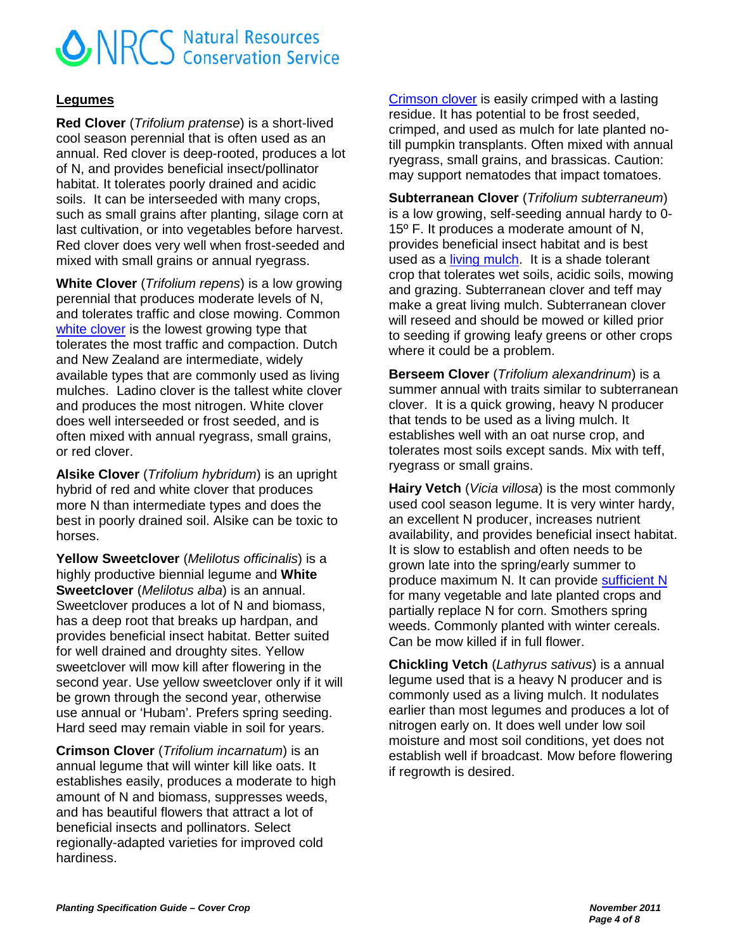#### **Legumes**

**Red Clover** (*Trifolium pratense*) is a short-lived cool season perennial that is often used as an annual. Red clover is deep-rooted, produces a lot of N, and provides beneficial insect/pollinator habitat. It tolerates poorly drained and acidic soils. It can be interseeded with many crops, such as small grains after planting, silage corn at last cultivation, or into vegetables before harvest. Red clover does very well when frost-seeded and mixed with small grains or annual ryegrass.

**White Clover** (*Trifolium repens*) is a low growing perennial that produces moderate levels of N, and tolerates traffic and close mowing. Common [white clover](http://www.mccc.msu.edu/documents/managingccprof/ManagingCoverCropsProfitably_whiteclover.pdf) is the lowest growing type that tolerates the most traffic and compaction. Dutch and New Zealand are intermediate, widely available types that are commonly used as living mulches. Ladino clover is the tallest white clover and produces the most nitrogen. White clover does well interseeded or frost seeded, and is often mixed with annual ryegrass, small grains, or red clover.

**Alsike Clover** (*Trifolium hybridum*) is an upright hybrid of red and white clover that produces more N than intermediate types and does the best in poorly drained soil. Alsike can be toxic to horses.

**Yellow Sweetclover** (*Melilotus officinalis*) is a highly productive biennial legume and **White Sweetclover** (*Melilotus alba*) is an annual. Sweetclover produces a lot of N and biomass, has a deep root that breaks up hardpan, and provides beneficial insect habitat. Better suited for well drained and droughty sites. Yellow sweetclover will mow kill after flowering in the second year. Use yellow sweetclover only if it will be grown through the second year, otherwise use annual or 'Hubam'. Prefers spring seeding. Hard seed may remain viable in soil for years.

**Crimson Clover** (*Trifolium incarnatum*) is an annual legume that will winter kill like oats. It establishes easily, produces a moderate to high amount of N and biomass, suppresses weeds, and has beautiful flowers that attract a lot of beneficial insects and pollinators. Select regionally-adapted varieties for improved cold hardiness.

[Crimson clover](http://www.plant-materials.nrcs.usda.gov/pubs/gapmcfs8595.pdf) is easily crimped with a lasting residue. It has potential to be frost seeded, crimped, and used as mulch for late planted notill pumpkin transplants. Often mixed with annual ryegrass, small grains, and brassicas. Caution: may support nematodes that impact tomatoes.

**Subterranean Clover** (*Trifolium subterraneum*) is a low growing, self-seeding annual hardy to 0- 15º F. It produces a moderate amount of N, provides beneficial insect habitat and is best used as a [living mulch.](http://www.sciencedirect.com/science/article/pii/016788099290096T) It is a shade tolerant crop that tolerates wet soils, acidic soils, mowing and grazing. Subterranean clover and teff may make a great living mulch. Subterranean clover will reseed and should be mowed or killed prior to seeding if growing leafy greens or other crops where it could be a problem.

**Berseem Clover** (*Trifolium alexandrinum*) is a summer annual with traits similar to subterranean clover. It is a quick growing, heavy N producer that tends to be used as a living mulch. It establishes well with an oat nurse crop, and tolerates most soils except sands. Mix with teff, ryegrass or small grains.

**Hairy Vetch** (*Vicia villosa*) is the most commonly used cool season legume. It is very winter hardy, an excellent N producer, increases nutrient availability, and provides beneficial insect habitat. It is slow to establish and often needs to be grown late into the spring/early summer to produce maximum N. It can provide [sufficient N](http://www.umass.edu/cdl/ResearchPubs/a-cc-Betsey.rpt-02.htm) for many vegetable and late planted crops and partially replace N for corn. Smothers spring weeds. Commonly planted with winter cereals. Can be mow killed if in full flower.

**Chickling Vetch** (*Lathyrus sativus*) is a annual legume used that is a heavy N producer and is commonly used as a living mulch. It nodulates earlier than most legumes and produces a lot of nitrogen early on. It does well under low soil moisture and most soil conditions, yet does not establish well if broadcast. Mow before flowering if regrowth is desired.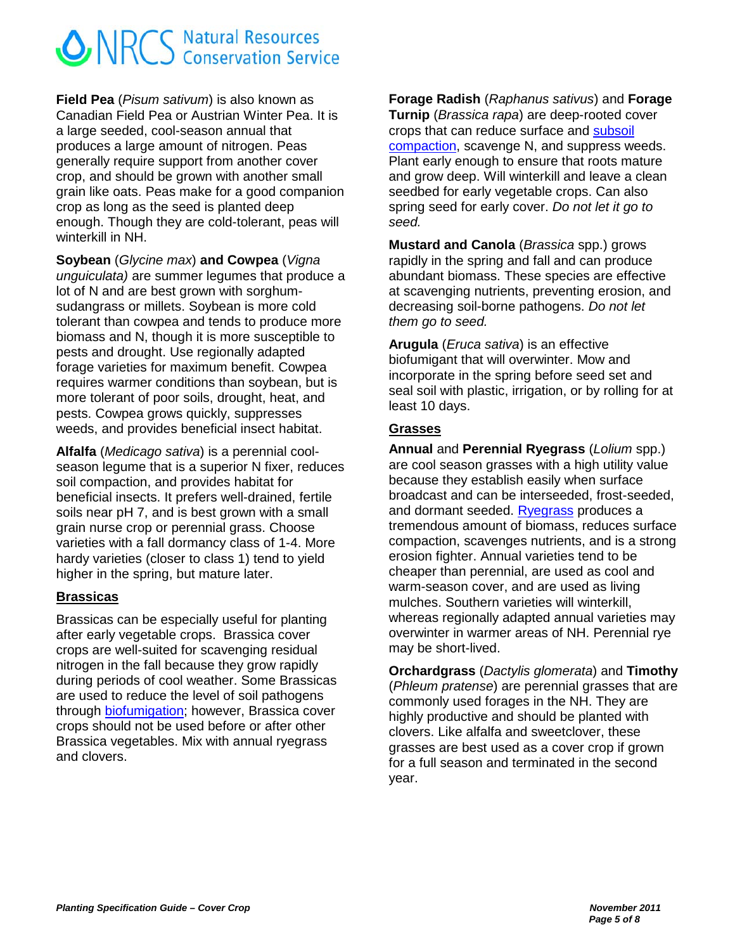**Field Pea** (*Pisum sativum*) is also known as Canadian Field Pea or Austrian Winter Pea. It is a large seeded, cool-season annual that produces a large amount of nitrogen. Peas generally require support from another cover crop, and should be grown with another small grain like oats. Peas make for a good companion crop as long as the seed is planted deep enough. Though they are cold-tolerant, peas will winterkill in NH.

**Soybean** (*Glycine max*) **and Cowpea** (*Vigna unguiculata)* are summer legumes that produce a lot of N and are best grown with sorghumsudangrass or millets. Soybean is more cold tolerant than cowpea and tends to produce more biomass and N, though it is more susceptible to pests and drought. Use regionally adapted forage varieties for maximum benefit. Cowpea requires warmer conditions than soybean, but is more tolerant of poor soils, drought, heat, and pests. Cowpea grows quickly, suppresses weeds, and provides beneficial insect habitat.

**Alfalfa** (*Medicago sativa*) is a perennial coolseason legume that is a superior N fixer, reduces soil compaction, and provides habitat for beneficial insects. It prefers well-drained, fertile soils near pH 7, and is best grown with a small grain nurse crop or perennial grass. Choose varieties with a fall dormancy class of 1-4. More hardy varieties (closer to class 1) tend to yield higher in the spring, but mature later.

#### **Brassicas**

Brassicas can be especially useful for planting after early vegetable crops. Brassica cover crops are well-suited for scavenging residual nitrogen in the fall because they grow rapidly during periods of cool weather. Some Brassicas are used to reduce the level of soil pathogens through [biofumigation;](http://www.newenglandvfc.org/pdf_proceedings/2009/BCCSMSBVC.pdf) however, Brassica cover crops should not be used before or after other Brassica vegetables. Mix with annual ryegrass and clovers.

**Forage Radish** (*Raphanus sativus*) and **Forage Turnip** (*Brassica rapa*) are deep-rooted cover crops that can reduce surface and [subsoil](http://www.enst.umd.edu/files/FactSheet824%20Weil%20et%20al%202009.pdf)  [compaction,](http://www.enst.umd.edu/files/FactSheet824%20Weil%20et%20al%202009.pdf) scavenge N, and suppress weeds. Plant early enough to ensure that roots mature and grow deep. Will winterkill and leave a clean seedbed for early vegetable crops. Can also spring seed for early cover. *Do not let it go to seed.*

**Mustard and Canola** (*Brassica* spp.) grows rapidly in the spring and fall and can produce abundant biomass. These species are effective at scavenging nutrients, preventing erosion, and decreasing soil-borne pathogens. *Do not let them go to seed.*

**Arugula** (*Eruca sativa*) is an effective biofumigant that will overwinter. Mow and incorporate in the spring before seed set and seal soil with plastic, irrigation, or by rolling for at least 10 days.

#### **Grasses**

**Annual** and **Perennial Ryegrass** (*Lolium* spp.) are cool season grasses with a high utility value because they establish easily when surface broadcast and can be interseeded, frost-seeded, and dormant seeded. [Ryegrass](http://www.hort.cornell.edu/bjorkman/lab/covercrops/mid-summer.php) produces a tremendous amount of biomass, reduces surface compaction, scavenges nutrients, and is a strong erosion fighter. Annual varieties tend to be cheaper than perennial, are used as cool and warm-season cover, and are used as living mulches. Southern varieties will winterkill, whereas regionally adapted annual varieties may overwinter in warmer areas of NH. Perennial rye may be short-lived.

**Orchardgrass** (*Dactylis glomerata*) and **Timothy** (*Phleum pratense*) are perennial grasses that are commonly used forages in the NH. They are highly productive and should be planted with clovers. Like alfalfa and sweetclover, these grasses are best used as a cover crop if grown for a full season and terminated in the second year.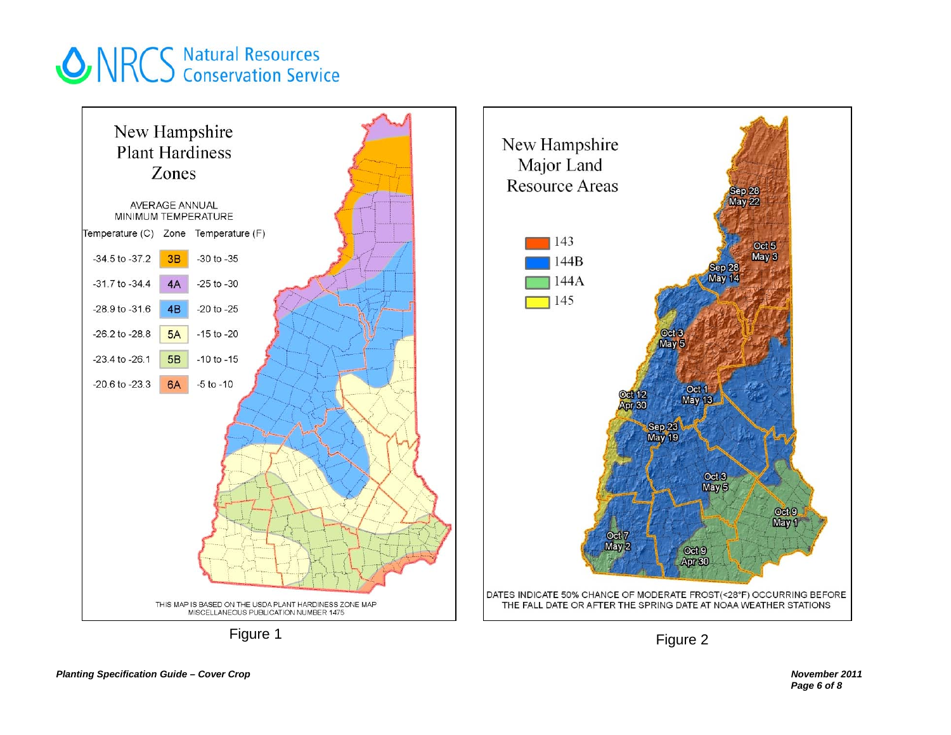

Figure 2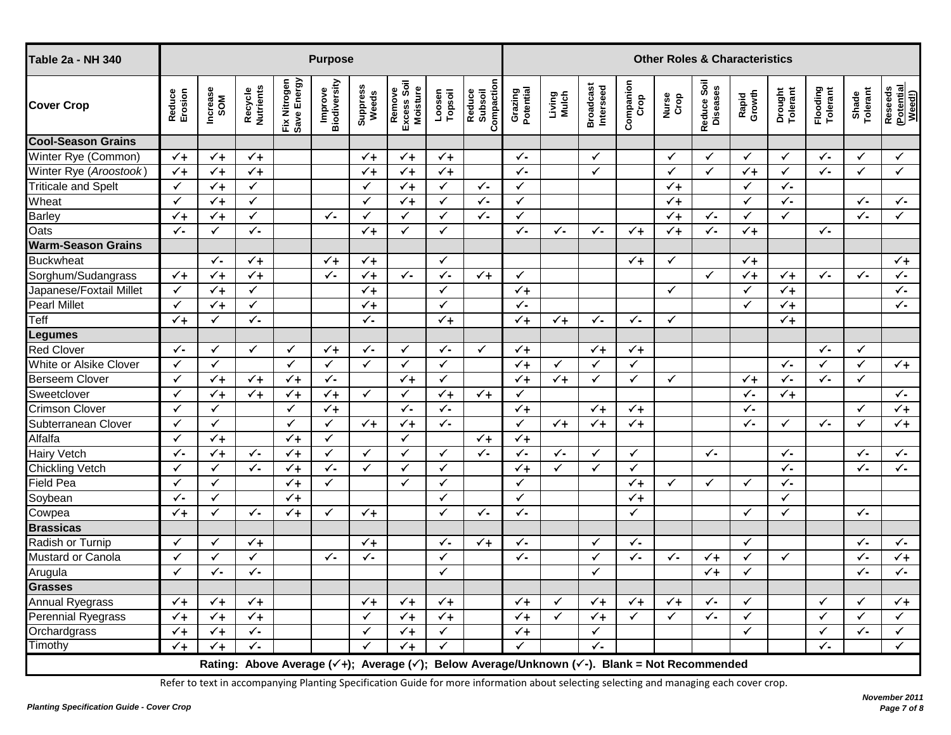| <b>Table 2a - NH 340</b>   | <b>Purpose</b>           |                 |                      |                             |                         |                   |                                   |                   |                                                                                                                                     |                      | <b>Other Roles &amp; Characteristics</b> |                               |                   |                |                         |                 |                     |                      |                   |                                         |
|----------------------------|--------------------------|-----------------|----------------------|-----------------------------|-------------------------|-------------------|-----------------------------------|-------------------|-------------------------------------------------------------------------------------------------------------------------------------|----------------------|------------------------------------------|-------------------------------|-------------------|----------------|-------------------------|-----------------|---------------------|----------------------|-------------------|-----------------------------------------|
| <b>Cover Crop</b>          | Reduce<br>Erosion        | Increase<br>SOM | Recycle<br>Nutrients | Fix Nitrogen<br>Save Energy | Improve<br>Biodiversity | Suppress<br>Weeds | Remove<br>Excess Soil<br>Moisture | Topsoil<br>Loosen | Compaction<br>Reduce<br>Subsoil                                                                                                     | Grazing<br>Potential | Living<br>Mulch                          | <b>Broadcast</b><br>Interseed | Companion<br>Crop | Nurse<br>Crop  | Reduce Soil<br>Diseases | Rapid<br>Growth | Drought<br>Tolerant | Flooding<br>Tolerant | Shade<br>Tolerant | Reseeds<br>(Potential<br><u>Weed!</u> ) |
| <b>Cool-Season Grains</b>  |                          |                 |                      |                             |                         |                   |                                   |                   |                                                                                                                                     |                      |                                          |                               |                   |                |                         |                 |                     |                      |                   |                                         |
| Winter Rye (Common)        | $\checkmark$ +           | $\checkmark$    | $\checkmark$ +       |                             |                         | $\checkmark_+$    | $\checkmark$                      | $\checkmark$ +    |                                                                                                                                     | $\checkmark$         |                                          | $\checkmark$                  |                   | $\checkmark$   | ✓                       | $\checkmark$    | $\checkmark$        | $\checkmark$         | ✓                 | $\checkmark$                            |
| Winter Rye (Aroostook)     | $\checkmark$             | $\checkmark$ +  | $\checkmark$         |                             |                         | $\checkmark$      | $\checkmark$                      | $\checkmark$      |                                                                                                                                     | $\checkmark$         |                                          | $\checkmark$                  |                   | $\checkmark$   | $\checkmark$            | $\checkmark$    | $\checkmark$        | $\checkmark$ .       | $\checkmark$      | ✓                                       |
| <b>Triticale and Spelt</b> | $\checkmark$             | $\checkmark$ +  | $\checkmark$         |                             |                         | $\checkmark$      | $\sqrt{1}$                        | ✓                 | $\checkmark$ .                                                                                                                      | $\checkmark$         |                                          |                               |                   | $\checkmark$   |                         | $\checkmark$    | $\checkmark$ .      |                      |                   |                                         |
| Wheat                      | $\checkmark$             | $\checkmark_+$  | $\checkmark$         |                             |                         | $\checkmark$      | $\checkmark$ +                    | $\checkmark$      | $\checkmark$                                                                                                                        | $\checkmark$         |                                          |                               |                   | $\sqrt{1}$     |                         | $\checkmark$    | $\checkmark$ .      |                      | $\checkmark$      | $\checkmark$                            |
| <b>Barley</b>              | $\checkmark$             | $\checkmark$ +  | $\checkmark$         |                             | $\checkmark$            | $\checkmark$      | ✓                                 | $\checkmark$      | $\checkmark$                                                                                                                        | $\checkmark$         |                                          |                               |                   | $\checkmark +$ | $\checkmark$            | $\checkmark$    | $\checkmark$        |                      | $\checkmark$      | $\checkmark$                            |
| Oats                       | ✓-                       | ✓               | $\checkmark$         |                             |                         | $\checkmark_+$    | ✓                                 | ✓                 |                                                                                                                                     | $\checkmark$         | $\checkmark$ .                           | $\checkmark$                  | $\checkmark_+$    | $\checkmark_+$ | ✓-                      | $\checkmark$ +  |                     | $\checkmark$         |                   |                                         |
| <b>Warm-Season Grains</b>  |                          |                 |                      |                             |                         |                   |                                   |                   |                                                                                                                                     |                      |                                          |                               |                   |                |                         |                 |                     |                      |                   |                                         |
| <b>Buckwheat</b>           |                          | $\checkmark$    | $\checkmark$ +       |                             | $\checkmark_+$          | $\checkmark_+$    |                                   | $\checkmark$      |                                                                                                                                     |                      |                                          |                               | $\checkmark_+$    | $\checkmark$   |                         | $\checkmark$ +  |                     |                      |                   | $\checkmark_+$                          |
| Sorghum/Sudangrass         | $\overline{\smash{6 +}}$ | $\checkmark$ +  | $\checkmark$         |                             | $\checkmark$            | $\sqrt{1}$        | $\checkmark$ .                    | $\checkmark$ .    | $\checkmark$ +                                                                                                                      | $\checkmark$         |                                          |                               |                   |                | $\checkmark$            | $\checkmark$    | $\checkmark$ +      | $\checkmark$         | $\checkmark$      | $\checkmark$                            |
| Japanese/Foxtail Millet    | $\checkmark$             | $\checkmark +$  | $\checkmark$         |                             |                         | $\checkmark$ +    |                                   | ✓                 |                                                                                                                                     | $\checkmark +$       |                                          |                               |                   | $\checkmark$   |                         | $\checkmark$    | $\checkmark_+$      |                      |                   | $\sqrt{2}$                              |
| <b>Pearl Millet</b>        | $\checkmark$             | $\checkmark$ +  | $\checkmark$         |                             |                         | $\sqrt{1}$        |                                   | $\checkmark$      |                                                                                                                                     | $\checkmark$         |                                          |                               |                   |                |                         | $\checkmark$    | $\sqrt{1}$          |                      |                   | $\checkmark$                            |
| Teff                       | $\checkmark_+$           | $\checkmark$    | $\checkmark$         |                             |                         | $\checkmark$      |                                   | $\checkmark_+$    |                                                                                                                                     | $\checkmark_+$       | $\checkmark_+$                           | $\checkmark$ .                | $\checkmark$      | $\checkmark$   |                         |                 | $\checkmark$        |                      |                   |                                         |
| Legumes<br>Red Clover      |                          |                 |                      |                             |                         |                   |                                   |                   |                                                                                                                                     |                      |                                          |                               |                   |                |                         |                 |                     |                      |                   |                                         |
|                            | $\checkmark$             | $\checkmark$    | $\checkmark$         | ✓                           | $\checkmark_+$          | $\checkmark$ .    | $\checkmark$                      | ✓-                | $\checkmark$                                                                                                                        | $\checkmark_+$       |                                          | $\checkmark_+$                | $\checkmark_+$    |                |                         |                 |                     | $\checkmark$         | $\checkmark$      |                                         |
| White or Alsike Clover     | $\checkmark$             | $\checkmark$    |                      | $\checkmark$                | $\checkmark$            | $\checkmark$      | $\checkmark$                      | $\checkmark$      |                                                                                                                                     | $\checkmark_+$       | ✓                                        | ✓                             | $\checkmark$      |                |                         |                 | $\checkmark$ .      | $\checkmark$         | $\checkmark$      | $\checkmark_+$                          |
| <b>Berseem Clover</b>      | $\checkmark$             | $\checkmark_+$  | $\checkmark_+$       | $\checkmark_+$              | $\checkmark$            |                   | $\checkmark$                      | $\checkmark$      |                                                                                                                                     | $\checkmark$         | $\checkmark_+$                           | ✓                             | $\checkmark$      | $\checkmark$   |                         | $\checkmark_+$  | $\checkmark$        | $\checkmark$         | $\checkmark$      |                                         |
| Sweetclover                | $\checkmark$             | $\checkmark_+$  | $\checkmark_+$       | $\sqrt{1}$                  | $\checkmark$ +          | $\checkmark$      | $\checkmark$                      | $\checkmark$      | $\checkmark$                                                                                                                        | $\checkmark$         |                                          |                               |                   |                |                         | $\checkmark$ .  | $\checkmark$ +      |                      |                   | $\checkmark$                            |
| <b>Crimson Clover</b>      | $\checkmark$             | $\checkmark$    |                      | $\checkmark$                | $\checkmark_+$          |                   | ✓-                                | ✓-                |                                                                                                                                     | $\checkmark_+$       |                                          | $\checkmark_+$                | $\checkmark_+$    |                |                         | $\checkmark$ .  |                     |                      | $\checkmark$      | $\checkmark_+$                          |
| Subterranean Clover        | $\checkmark$             | $\checkmark$    |                      | $\checkmark$                | $\checkmark$            | $\checkmark_+$    | $\checkmark_+$                    | $\checkmark$      |                                                                                                                                     | $\checkmark$         | $\checkmark_+$                           | $\checkmark_+$                | $\checkmark_+$    |                |                         | $\checkmark$    | $\checkmark$        | $\checkmark$         | $\checkmark$      | $\checkmark_+$                          |
| Alfalfa                    | $\checkmark$             | $\checkmark$    |                      | $\sqrt{1}$                  | $\checkmark$            |                   | $\checkmark$                      |                   | $\checkmark$                                                                                                                        | $\checkmark$ +       |                                          |                               |                   |                |                         |                 |                     |                      |                   |                                         |
| <b>Hairy Vetch</b>         | $\checkmark$             | $\checkmark_+$  | $\checkmark$         | $\checkmark$ +              | $\checkmark$            | $\checkmark$      | $\checkmark$                      | $\checkmark$      | $\checkmark$                                                                                                                        | $\checkmark$         | $\checkmark$                             | $\checkmark$                  | $\checkmark$      |                | $\checkmark$ .          |                 | $\checkmark$        |                      | $\checkmark$      | $\checkmark$                            |
| Chickling Vetch            | $\checkmark$             | $\checkmark$    | $\checkmark$         | $\sqrt{1}$                  | $\checkmark$            | $\checkmark$      | ✓                                 | $\checkmark$      |                                                                                                                                     | $\checkmark$ +       | $\checkmark$                             | $\checkmark$                  | $\checkmark$      |                |                         |                 | $\checkmark$        |                      | $\checkmark$ .    | $\checkmark$                            |
| Field Pea                  | ✓                        | ✓               |                      | $\checkmark$ +              | $\checkmark$            |                   | ✓                                 | ✓                 |                                                                                                                                     | $\checkmark$         |                                          |                               | $\checkmark_+$    | $\checkmark$   | ✓                       | ✓               | $\checkmark$ .      |                      |                   |                                         |
|                            | $\checkmark$             | $\checkmark$    |                      | $\sqrt{1}$                  |                         |                   |                                   | $\checkmark$      |                                                                                                                                     | $\checkmark$         |                                          |                               | $\checkmark$      |                |                         |                 | $\checkmark$        |                      |                   |                                         |
| Soybean<br>Cowpea          | $\checkmark$ +           | $\checkmark$    | $\checkmark$         | $\checkmark$                | $\checkmark$            | $\checkmark_+$    |                                   | $\checkmark$      | ✓-                                                                                                                                  | $\checkmark$         |                                          |                               | ✓                 |                |                         | $\checkmark$    | $\checkmark$        |                      | $\checkmark$ .    |                                         |
| <b>Brassicas</b>           |                          |                 |                      |                             |                         |                   |                                   |                   |                                                                                                                                     |                      |                                          |                               |                   |                |                         |                 |                     |                      |                   |                                         |
| Radish or Turnip           | ✓                        | ✓               | $\checkmark_+$       |                             |                         | $\checkmark +$    |                                   | ✓-                | $\checkmark$ +                                                                                                                      | $\checkmark$         |                                          | ✓                             | $\checkmark$      |                |                         | $\checkmark$    |                     |                      | $\checkmark$      | $\checkmark$                            |
| Mustard or Canola          | $\checkmark$             | $\checkmark$    | $\checkmark$         |                             | $\checkmark$            | $\checkmark$      |                                   | $\checkmark$      |                                                                                                                                     | $\checkmark$         |                                          | $\checkmark$                  | $\checkmark$      | $\checkmark$   | $\checkmark$            | $\checkmark$    | $\checkmark$        |                      | $\checkmark$      | $\sqrt{1}$                              |
| Arugula                    | $\checkmark$             | $\checkmark$    | $\checkmark$         |                             |                         |                   |                                   | ✓                 |                                                                                                                                     |                      |                                          | $\checkmark$                  |                   |                | $\checkmark_+$          | $\checkmark$    |                     |                      | $\checkmark$      | $\checkmark$                            |
| <b>Grasses</b>             |                          |                 |                      |                             |                         |                   |                                   |                   |                                                                                                                                     |                      |                                          |                               |                   |                |                         |                 |                     |                      |                   |                                         |
| <b>Annual Ryegrass</b>     | $\checkmark$             | $\checkmark_+$  | $\checkmark_+$       |                             |                         | $\checkmark_+$    | $\checkmark_+$                    | $\checkmark_+$    |                                                                                                                                     | $\checkmark$         | ✓                                        | $\checkmark_+$                | $\checkmark_+$    | $\checkmark_+$ | ✓-                      | ✓               |                     | ✓                    | $\checkmark$      | $\checkmark_+$                          |
| <b>Perennial Ryegrass</b>  | $\sqrt{1}$               | $\checkmark$ +  | $\checkmark_+$       |                             |                         | $\checkmark$      | $\checkmark_+$                    | $\checkmark_+$    |                                                                                                                                     | $\checkmark$         | $\checkmark$                             | $\checkmark_+$                | $\checkmark$      | $\checkmark$   | $\checkmark$ .          | $\checkmark$    |                     | $\checkmark$         | $\checkmark$      | $\checkmark$                            |
| Orchardgrass               | $\checkmark$             | $\checkmark$ +  | $\checkmark$         |                             |                         | ✓                 | $\checkmark_+$                    | ✓                 |                                                                                                                                     | $\checkmark$ +       |                                          | $\checkmark$                  |                   |                |                         | $\checkmark$    |                     | $\checkmark$         | $\checkmark$      | $\checkmark$                            |
| Timothy                    | $\checkmark$ +           | $\checkmark_+$  | $\checkmark$         |                             |                         | $\checkmark$      | $\overline{\checkmark}$           |                   |                                                                                                                                     | ✓                    |                                          | $\checkmark$ .                |                   |                |                         |                 |                     | $\checkmark$         |                   | $\checkmark$                            |
|                            |                          |                 |                      |                             |                         |                   |                                   |                   | Rating: Above Average ( $\checkmark$ +); Average ( $\checkmark$ ); Below Average/Unknown ( $\checkmark$ -). Blank = Not Recommended |                      |                                          |                               |                   |                |                         |                 |                     |                      |                   |                                         |

Refer to text in accompanying Planting Specification Guide for more information about selecting selecting and managing each cover crop.